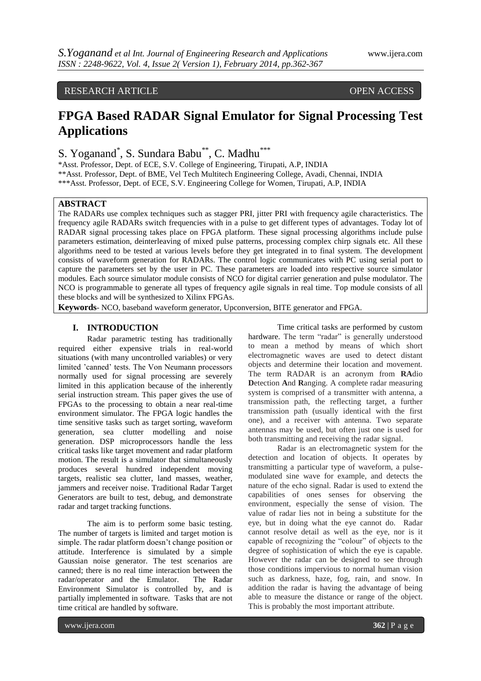# RESEARCH ARTICLE OPEN ACCESS

# **FPGA Based RADAR Signal Emulator for Signal Processing Test Applications**

S. Yoganand<sup>\*</sup>, S. Sundara Babu<sup>\*\*</sup>, C. Madhu<sup>\*\*\*</sup>

\*Asst. Professor, Dept. of ECE, S.V. College of Engineering, Tirupati, A.P, INDIA \*\*Asst. Professor, Dept. of BME, Vel Tech Multitech Engineering College, Avadi, Chennai, INDIA \*\*\*Asst. Professor, Dept. of ECE, S.V. Engineering College for Women, Tirupati, A.P, INDIA

# **ABSTRACT**

The RADARs use complex techniques such as stagger PRI, jitter PRI with frequency agile characteristics. The frequency agile RADARs switch frequencies with in a pulse to get different types of advantages. Today lot of RADAR signal processing takes place on FPGA platform. These signal processing algorithms include pulse parameters estimation, deinterleaving of mixed pulse patterns, processing complex chirp signals etc. All these algorithms need to be tested at various levels before they get integrated in to final system. The development consists of waveform generation for RADARs. The control logic communicates with PC using serial port to capture the parameters set by the user in PC. These parameters are loaded into respective source simulator modules. Each source simulator module consists of NCO for digital carrier generation and pulse modulator. The NCO is programmable to generate all types of frequency agile signals in real time. Top module consists of all these blocks and will be synthesized to Xilinx FPGAs.

**Keywords**- NCO, baseband waveform generator, Upconversion, BITE generator and FPGA.

# **I. INTRODUCTION**

Radar parametric testing has traditionally required either expensive trials in real-world situations (with many uncontrolled variables) or very limited 'canned' tests. The Von Neumann processors normally used for signal processing are severely limited in this application because of the inherently serial instruction stream. This paper gives the use of FPGAs to the processing to obtain a near real-time environment simulator. The FPGA logic handles the time sensitive tasks such as target sorting, waveform generation, sea clutter modelling and noise generation. DSP microprocessors handle the less critical tasks like target movement and radar platform motion. The result is a simulator that simultaneously produces several hundred independent moving targets, realistic sea clutter, land masses, weather, jammers and receiver noise. Traditional Radar Target Generators are built to test, debug, and demonstrate radar and target tracking functions.

The aim is to perform some basic testing. The number of targets is limited and target motion is simple. The radar platform doesn't change position or attitude. Interference is simulated by a simple Gaussian noise generator. The test scenarios are canned; there is no real time interaction between the radar/operator and the Emulator. The Radar Environment Simulator is controlled by, and is partially implemented in software. Tasks that are not time critical are handled by software.

Time critical tasks are performed by custom hardware. The term "radar" is generally understood to mean a method by means of which short electromagnetic waves are used to detect distant objects and determine their location and movement. The term RADAR is an acronym from **RA**dio **D**etection **A**nd **R**anging. A complete radar measuring system is comprised of a transmitter with antenna, a transmission path, the reflecting target, a further transmission path (usually identical with the first one), and a receiver with antenna. Two separate antennas may be used, but often just one is used for both transmitting and receiving the radar signal.

Radar is an electromagnetic system for the detection and location of objects. It operates by transmitting a particular type of waveform, a pulsemodulated sine wave for example, and detects the nature of the echo signal. Radar is used to extend the capabilities of ones senses for observing the environment, especially the sense of vision. The value of radar lies not in being a substitute for the eye, but in doing what the eye cannot do. Radar cannot resolve detail as well as the eye, nor is it capable of recognizing the "colour" of objects to the degree of sophistication of which the eye is capable. However the radar can be designed to see through those conditions impervious to normal human vision such as darkness, haze, fog, rain, and snow. In addition the radar is having the advantage of being able to measure the distance or range of the object. This is probably the most important attribute.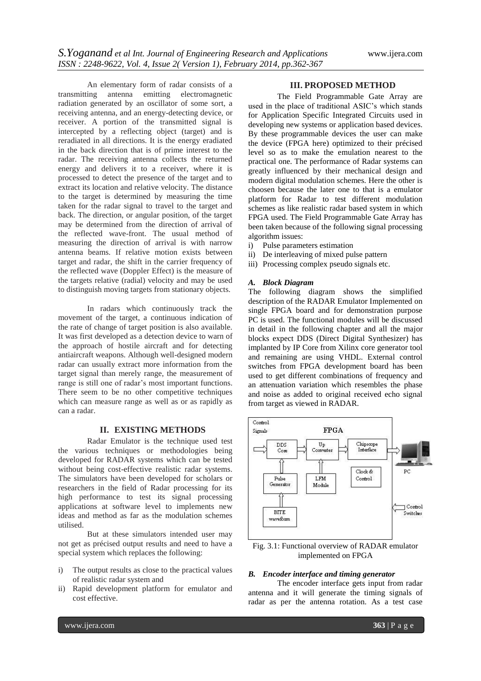An elementary form of radar consists of a transmitting antenna emitting electromagnetic radiation generated by an oscillator of some sort, a receiving antenna, and an energy-detecting device, or receiver. A portion of the transmitted signal is intercepted by a reflecting object (target) and is reradiated in all directions. It is the energy eradiated in the back direction that is of prime interest to the radar. The receiving antenna collects the returned energy and delivers it to a receiver, where it is processed to detect the presence of the target and to extract its location and relative velocity. The distance to the target is determined by measuring the time taken for the radar signal to travel to the target and back. The direction, or angular position, of the target may be determined from the direction of arrival of the reflected wave-front. The usual method of measuring the direction of arrival is with narrow antenna beams. If relative motion exists between target and radar, the shift in the carrier frequency of the reflected wave (Doppler Effect) is the measure of the targets relative (radial) velocity and may be used to distinguish moving targets from stationary objects.

In radars which continuously track the movement of the target, a continuous indication of the rate of change of target position is also available. It was first developed as a detection device to warn of the approach of hostile aircraft and for detecting antiaircraft weapons. Although well-designed modern radar can usually extract more information from the target signal than merely range, the measurement of range is still one of radar's most important functions. There seem to be no other competitive techniques which can measure range as well as or as rapidly as can a radar.

# **II. EXISTING METHODS**

Radar Emulator is the technique used test the various techniques or methodologies being developed for RADAR systems which can be tested without being cost-effective realistic radar systems. The simulators have been developed for scholars or researchers in the field of Radar processing for its high performance to test its signal processing applications at software level to implements new ideas and method as far as the modulation schemes utilised.

But at these simulators intended user may not get as précised output results and need to have a special system which replaces the following:

- i) The output results as close to the practical values of realistic radar system and
- ii) Rapid development platform for emulator and cost effective.

#### **III. PROPOSED METHOD**

The Field Programmable Gate Array are used in the place of traditional ASIC's which stands for Application Specific Integrated Circuits used in developing new systems or application based devices. By these programmable devices the user can make the device (FPGA here) optimized to their précised level so as to make the emulation nearest to the practical one. The performance of Radar systems can greatly influenced by their mechanical design and modern digital modulation schemes. Here the other is choosen because the later one to that is a emulator platform for Radar to test different modulation schemes as like realistic radar based system in which FPGA used. The Field Programmable Gate Array has been taken because of the following signal processing algorithm issues:

- i) Pulse parameters estimation
- ii) De interleaving of mixed pulse pattern
- iii) Processing complex pseudo signals etc.

#### *A. Block Diagram*

The following diagram shows the simplified description of the RADAR Emulator Implemented on single FPGA board and for demonstration purpose PC is used. The functional modules will be discussed in detail in the following chapter and all the major blocks expect DDS (Direct Digital Synthesizer) has implanted by IP Core from Xilinx core generator tool and remaining are using VHDL. External control switches from FPGA development board has been used to get different combinations of frequency and an attenuation variation which resembles the phase and noise as added to original received echo signal from target as viewed in RADAR.



Fig. 3.1: Functional overview of RADAR emulator implemented on FPGA

#### *B. Encoder interface and timing generator*

The encoder interface gets input from radar antenna and it will generate the timing signals of radar as per the antenna rotation. As a test case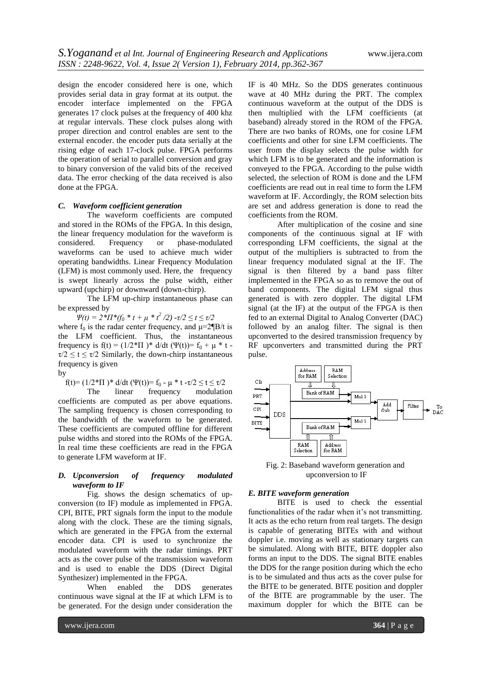design the encoder considered here is one, which provides serial data in gray format at its output. the encoder interface implemented on the FPGA generates 17 clock pulses at the frequency of 400 khz at regular intervals. These clock pulses along with proper direction and control enables are sent to the external encoder. the encoder puts data serially at the rising edge of each 17-clock pulse. FPGA performs the operation of serial to parallel conversion and gray to binary conversion of the valid bits of the received data. The error checking of the data received is also done at the FPGA.

#### *C. Waveform coefficient generation*

The waveform coefficients are computed and stored in the ROMs of the FPGA. In this design, the linear frequency modulation for the waveform is considered. Frequency or phase-modulated waveforms can be used to achieve much wider operating bandwidths. Linear Frequency Modulation (LFM) is most commonly used. Here, the frequency is swept linearly across the pulse width, either upward (upchirp) or downward (down-chirp).

The LFM up-chirp instantaneous phase can be expressed by

*Ψ(t)* =  $2 \cdot T T^*$ (f<sub>0</sub>  $*$  t + μ  $*$  t<sup>2</sup> /2) -τ/2  $\le t \le \tau/2$ 

where  $f_0$  is the radar center frequency, and  $\mu = 2 \mathbb{I} B/t$  is the LFM coefficient. Thus, the instantaneous frequency is  $f(t) = (1/2 \cdot \Pi) \cdot d/dt$  ( $\Psi(t) = f_0 + \mu \cdot t$ .  $\tau/2 \le t \le \tau/2$  Similarly, the down-chirp instantaneous frequency is given

by

f(t)=  $(1/2*\Pi)$ <sup>\*</sup> d/dt (Ψ(t))= f<sub>0</sub> - μ \* t -τ/2  $\le t \le \tau/2$ <br>The linear frequency modulation

The linear frequency modulation coefficients are computed as per above equations. The sampling frequency is chosen corresponding to the bandwidth of the waveform to be generated. These coefficients are computed offline for different pulse widths and stored into the ROMs of the FPGA. In real time these coefficients are read in the FPGA to generate LFM waveform at IF.

### *D. Upconversion of frequency modulated waveform to IF*

Fig. shows the design schematics of upconversion (to IF) module as implemented in FPGA. CPI, BITE, PRT signals form the input to the module along with the clock. These are the timing signals, which are generated in the FPGA from the external encoder data. CPI is used to synchronize the modulated waveform with the radar timings. PRT acts as the cover pulse of the transmission waveform and is used to enable the DDS (Direct Digital Synthesizer) implemented in the FPGA.

When enabled the DDS generates continuous wave signal at the IF at which LFM is to be generated. For the design under consideration the

IF is 40 MHz. So the DDS generates continuous wave at 40 MHz during the PRT. The complex continuous waveform at the output of the DDS is then multiplied with the LFM coefficients (at baseband) already stored in the ROM of the FPGA. There are two banks of ROMs, one for cosine LFM coefficients and other for sine LFM coefficients. The user from the display selects the pulse width for which LFM is to be generated and the information is conveyed to the FPGA. According to the pulse width selected, the selection of ROM is done and the LFM coefficients are read out in real time to form the LFM waveform at IF. Accordingly, the ROM selection bits are set and address generation is done to read the coefficients from the ROM.

After multiplication of the cosine and sine components of the continuous signal at IF with corresponding LFM coefficients, the signal at the output of the multipliers is subtracted to from the linear frequency modulated signal at the IF. The signal is then filtered by a band pass filter implemented in the FPGA so as to remove the out of band components. The digital LFM signal thus generated is with zero doppler. The digital LFM signal (at the IF) at the output of the FPGA is then fed to an external Digital to Analog Converter (DAC) followed by an analog filter. The signal is then upconverted to the desired transmission frequency by RF upconverters and transmitted during the PRT pulse.



Fig. 2: Baseband waveform generation and upconversion to IF

#### *E. BITE waveform generation*

BITE is used to check the essential functionalities of the radar when it's not transmitting. It acts as the echo return from real targets. The design is capable of generating BITEs with and without doppler i.e. moving as well as stationary targets can be simulated. Along with BITE, BITE doppler also forms an input to the DDS. The signal BITE enables the DDS for the range position during which the echo is to be simulated and thus acts as the cover pulse for the BITE to be generated. BITE position and doppler of the BITE are programmable by the user. The maximum doppler for which the BITE can be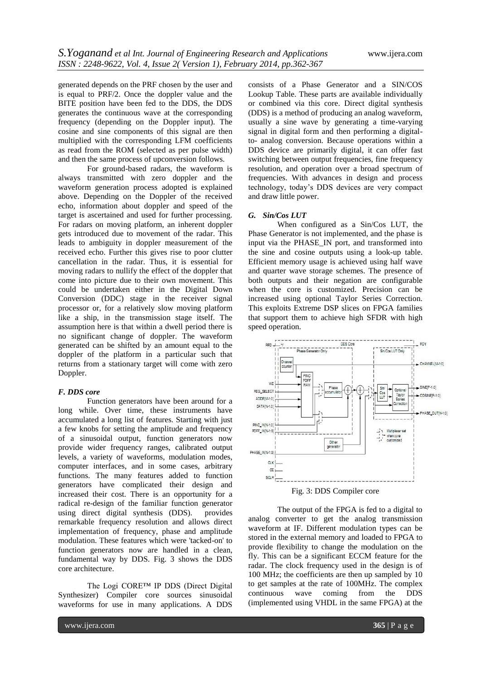generated depends on the PRF chosen by the user and is equal to PRF/2. Once the doppler value and the BITE position have been fed to the DDS, the DDS generates the continuous wave at the corresponding frequency (depending on the Doppler input). The cosine and sine components of this signal are then multiplied with the corresponding LFM coefficients as read from the ROM (selected as per pulse width) and then the same process of upconversion follows.

For ground-based radars, the waveform is always transmitted with zero doppler and the waveform generation process adopted is explained above. Depending on the Doppler of the received echo, information about doppler and speed of the target is ascertained and used for further processing. For radars on moving platform, an inherent doppler gets introduced due to movement of the radar. This leads to ambiguity in doppler measurement of the received echo. Further this gives rise to poor clutter cancellation in the radar. Thus, it is essential for moving radars to nullify the effect of the doppler that come into picture due to their own movement. This could be undertaken either in the Digital Down Conversion (DDC) stage in the receiver signal processor or, for a relatively slow moving platform like a ship, in the transmission stage itself. The assumption here is that within a dwell period there is no significant change of doppler. The waveform generated can be shifted by an amount equal to the doppler of the platform in a particular such that returns from a stationary target will come with zero Doppler.

#### *F. DDS core*

Function generators have been around for a long while. Over time, these instruments have accumulated a long list of features. Starting with just a few knobs for setting the amplitude and frequency of a sinusoidal output, function generators now provide wider frequency ranges, calibrated output levels, a variety of waveforms, modulation modes, computer interfaces, and in some cases, arbitrary functions. The many features added to function generators have complicated their design and increased their cost. There is an opportunity for a radical re-design of the familiar function generator using direct digital synthesis (DDS). provides remarkable frequency resolution and allows direct implementation of frequency, phase and amplitude modulation. These features which were 'tacked-on' to function generators now are handled in a clean, fundamental way by DDS. Fig. 3 shows the DDS core architecture.

The Logi CORE™ IP DDS (Direct Digital Synthesizer) Compiler core sources sinusoidal waveforms for use in many applications. A DDS

consists of a Phase Generator and a SIN/COS Lookup Table. These parts are available individually or combined via this core. Direct digital synthesis (DDS) is a method of producing an analog waveform, usually a sine wave by generating a time-varying signal in digital form and then performing a digitalto- analog conversion. Because operations within a DDS device are primarily digital, it can offer fast switching between output frequencies, fine frequency resolution, and operation over a broad spectrum of frequencies. With advances in design and process technology, today's DDS devices are very compact and draw little power.

#### *G. Sin/Cos LUT*

When configured as a Sin/Cos LUT, the Phase Generator is not implemented, and the phase is input via the PHASE\_IN port, and transformed into the sine and cosine outputs using a look-up table. Efficient memory usage is achieved using half wave and quarter wave storage schemes. The presence of both outputs and their negation are configurable when the core is customized. Precision can be increased using optional Taylor Series Correction. This exploits Extreme DSP slices on FPGA families that support them to achieve high SFDR with high speed operation.





The output of the FPGA is fed to a digital to analog converter to get the analog transmission waveform at IF. Different modulation types can be stored in the external memory and loaded to FPGA to provide flexibility to change the modulation on the fly. This can be a significant ECCM feature for the radar. The clock frequency used in the design is of 100 MHz; the coefficients are then up sampled by 10 to get samples at the rate of 100MHz. The complex continuous wave coming from the DDS (implemented using VHDL in the same FPGA) at the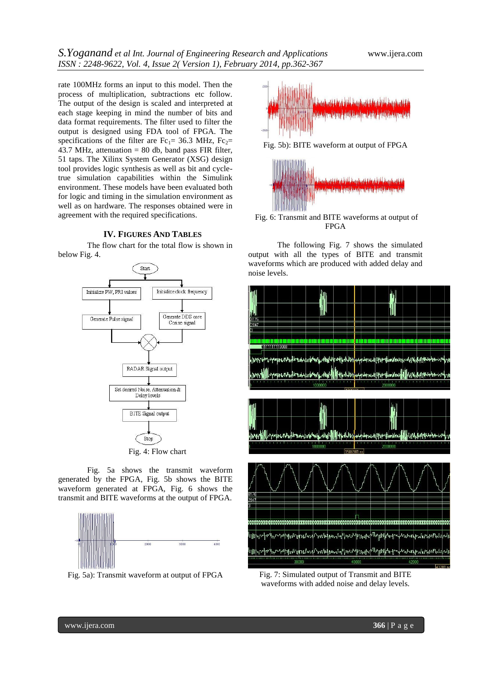rate 100MHz forms an input to this model. Then the process of multiplication, subtractions etc follow. The output of the design is scaled and interpreted at each stage keeping in mind the number of bits and data format requirements. The filter used to filter the output is designed using FDA tool of FPGA. The specifications of the filter are Fc<sub>1</sub>= 36.3 MHz, Fc<sub>2</sub>= 43.7 MHz, attenuation  $= 80$  db, band pass FIR filter, 51 taps. The Xilinx System Generator (XSG) design tool provides logic synthesis as well as bit and cycletrue simulation capabilities within the Simulink environment. These models have been evaluated both for logic and timing in the simulation environment as well as on hardware. The responses obtained were in agreement with the required specifications.

# **IV. FIGURES AND TABLES**

The flow chart for the total flow is shown in below Fig. 4.



Fig. 5a shows the transmit waveform generated by the FPGA, Fig. 5b shows the BITE waveform generated at FPGA, Fig. 6 shows the transmit and BITE waveforms at the output of FPGA.



Fig. 5a): Transmit waveform at output of FPGA



Fig. 5b): BITE waveform at output of FPGA



Fig. 6: Transmit and BITE waveforms at output of FPGA

The following Fig. 7 shows the simulated output with all the types of BITE and transmit waveforms which are produced with added delay and noise levels.



Fig. 7: Simulated output of Transmit and BITE waveforms with added noise and delay levels.